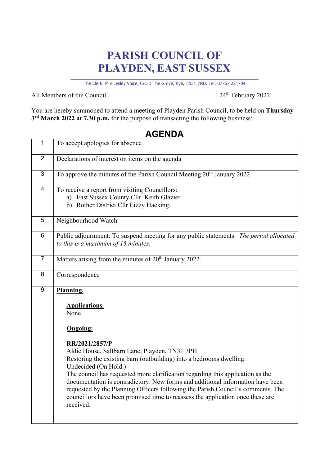## **PARISH COUNCIL OF PLAYDEN, EAST SUSSEX**

\_\_\_\_\_\_\_\_\_\_\_\_\_\_\_\_\_\_\_\_\_\_\_\_\_\_\_\_\_\_\_\_\_\_\_\_\_\_\_\_\_\_\_\_\_\_\_\_\_\_\_\_\_\_\_\_\_\_\_\_\_\_\_\_\_\_\_\_ The Clerk: Mrs Lesley Voice, C/O 1 The Grove, Rye, TN31 7ND. Tel: 07767 221704

All Members of the Council 24<sup>th</sup> February 2022

You are hereby summoned to attend a meeting of Playden Parish Council, to be held on **Thursday 3rd March 2022 at 7.30 p.m.** for the purpose of transacting the following business:

## **AGENDA**

| $\overline{1}$   | To accept apologies for absence                                                                                                                                                                                                                                                                                                                                                                                                                                                                                                                                                      |
|------------------|--------------------------------------------------------------------------------------------------------------------------------------------------------------------------------------------------------------------------------------------------------------------------------------------------------------------------------------------------------------------------------------------------------------------------------------------------------------------------------------------------------------------------------------------------------------------------------------|
| $\overline{2}$   | Declarations of interest on items on the agenda                                                                                                                                                                                                                                                                                                                                                                                                                                                                                                                                      |
| 3                | To approve the minutes of the Parish Council Meeting 20 <sup>th</sup> January 2022                                                                                                                                                                                                                                                                                                                                                                                                                                                                                                   |
| $\overline{4}$   | To receive a report from visiting Councillors:<br>a) East Sussex County Cllr. Keith Glazier<br>b) Rother District Cllr Lizzy Hacking.                                                                                                                                                                                                                                                                                                                                                                                                                                                |
| 5                | Neighbourhood Watch.                                                                                                                                                                                                                                                                                                                                                                                                                                                                                                                                                                 |
| 6                | Public adjournment: To suspend meeting for any public statements. The period allocated<br>to this is a maximum of 15 minutes.                                                                                                                                                                                                                                                                                                                                                                                                                                                        |
| $\overline{7}$   | Matters arising from the minutes of 20 <sup>th</sup> January 2022.                                                                                                                                                                                                                                                                                                                                                                                                                                                                                                                   |
| 8                | Correspondence                                                                                                                                                                                                                                                                                                                                                                                                                                                                                                                                                                       |
| $\boldsymbol{9}$ | Planning.<br><b>Applications.</b><br>None<br><b>Ongoing:</b><br>RR/2021/2857/P<br>Aldie House, Saltbarn Lane, Playden, TN31 7PH<br>Restoring the existing barn (outbuilding) into a bedrooms dwelling.<br>Undecided (On Hold.)<br>The council has requested more clarification regarding this application as the<br>documentation is contradictory. New forms and additional information have been<br>requested by the Planning Officers following the Parish Council's comments. The<br>councillors have been promised time to reassess the application once these are<br>received. |